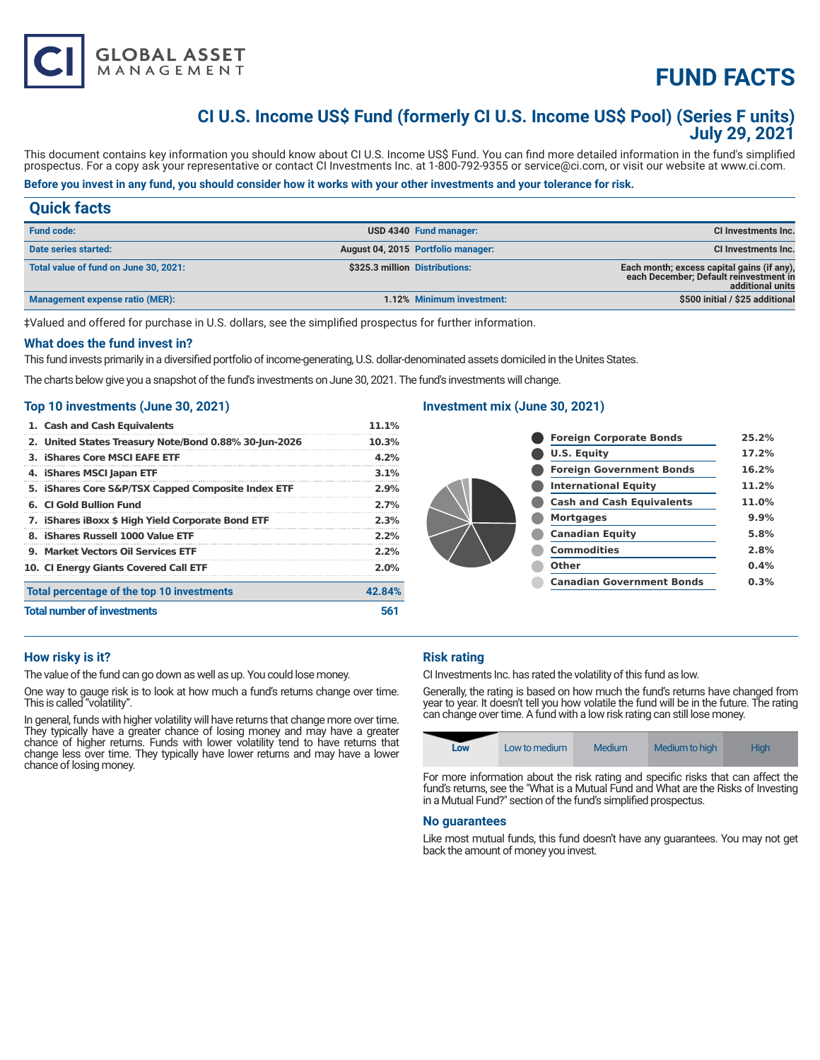# **FUND FACTS**

### **CI U.S. Income US\$ Fund (formerly CI U.S. Income US\$ Pool) (Series F units) July 29, 2021**

This document contains key information you should know about CI U.S. Income US\$ Fund. You can find more detailed information in the fund's simplified prospectus. For a copy ask your representative or contact CI Investments Inc. at 1-800-792-9355 or service@ci.com, or visit our website at www.ci.com.

### **Before you invest in any fund, you should consider how it works with your other investments and your tolerance for risk.**

### **Quick facts**

| <b>Fund code:</b>                     |                                | USD 4340 Fund manager:             | <b>CI Investments Inc.</b>                                                                               |
|---------------------------------------|--------------------------------|------------------------------------|----------------------------------------------------------------------------------------------------------|
| Date series started:                  |                                | August 04, 2015 Portfolio manager: | <b>CI Investments Inc.</b>                                                                               |
| Total value of fund on June 30, 2021: | \$325.3 million Distributions: |                                    | Each month; excess capital gains (if any),<br>each December; Default reinvestment in<br>additional units |
| Management expense ratio (MER):       |                                | 1.12% Minimum investment:          | \$500 initial / \$25 additional                                                                          |

‡Valued and offered for purchase in U.S. dollars, see the simplified prospectus for further information.

#### **What does the fund invest in?**

This fund invests primarily in a diversified portfolio of income-generating, U.S. dollar-denominated assets domiciled in the Unites States.

The charts below give you a snapshot of the fund's investments on June 30, 2021. The fund's investments will change.

#### **Top 10 investments (June 30, 2021)**

**GLOBAL ASSET**<br>MANAGEMENT

| 1. Cash and Cash Equivalents                          | 11.1%  |
|-------------------------------------------------------|--------|
| 2. United States Treasury Note/Bond 0.88% 30-Jun-2026 | 10.3%  |
| 3. iShares Core MSCI EAFE ETF                         | 4.2%   |
| 4. iShares MSCI Japan ETF                             | 3.1%   |
| 5. iShares Core S&P/TSX Capped Composite Index ETF    | 2.9%   |
| 6. CLGold Bullion Fund                                | 2.7%   |
| 7. IShares IBoxx \$ High Yield Corporate Bond ETF     | 2.3%   |
| 8. iShares Russell 1000 Value ETF                     | 2.2%   |
| 9. Market Vectors Oil Services ETF                    | 2.2%   |
| 10. CI Energy Giants Covered Call ETF                 | 2.0%   |
| Total percentage of the top 10 investments            | 42.84% |
| <b>Total number of investments</b>                    | 561    |

#### **Investment mix (June 30, 2021)**

| <b>Foreign Corporate Bonds</b>   | 25.2% |
|----------------------------------|-------|
| <b>U.S. Equity</b>               | 17.2% |
| <b>Foreign Government Bonds</b>  | 16.2% |
| <b>International Equity</b>      | 11.2% |
| <b>Cash and Cash Equivalents</b> | 11.0% |
| <b>Mortgages</b>                 | 9.9%  |
| <b>Canadian Equity</b>           | 5.8%  |
| <b>Commodities</b>               | 2.8%  |
| Other                            | 0.4%  |
| <b>Canadian Government Bonds</b> | 0.3%  |

#### **How risky is it?**

The value of the fund can go down as well as up. You could lose money.

One way to gauge risk is to look at how much a fund's returns change over time. This is called "volatility".

In general, funds with higher volatility will have returns that change more over time. They typically have a greater chance of losing money and may have a greater chance of higher returns. Funds with lower volatility tend to have returns that change less over time. They typically have lower returns and may have a lower chance of losing money.

#### **Risk rating**

CI Investments Inc. has rated the volatility of this fund as low.

Generally, the rating is based on how much the fund's returns have changed from year to year. It doesn't tell you how volatile the fund will be in the future. The rating can change over time. A fund with a low risk rating can still lose money.

| Low | Low to medium | Medium | Medium to high | Hiah |
|-----|---------------|--------|----------------|------|

For more information about the risk rating and specific risks that can affect the fund's returns, see the "What is a Mutual Fund and What are the Risks of Investing in a Mutual Fund?" section of the fund's simplified prospectus.

#### **No guarantees**

Like most mutual funds, this fund doesn't have any guarantees. You may not get back the amount of money you invest.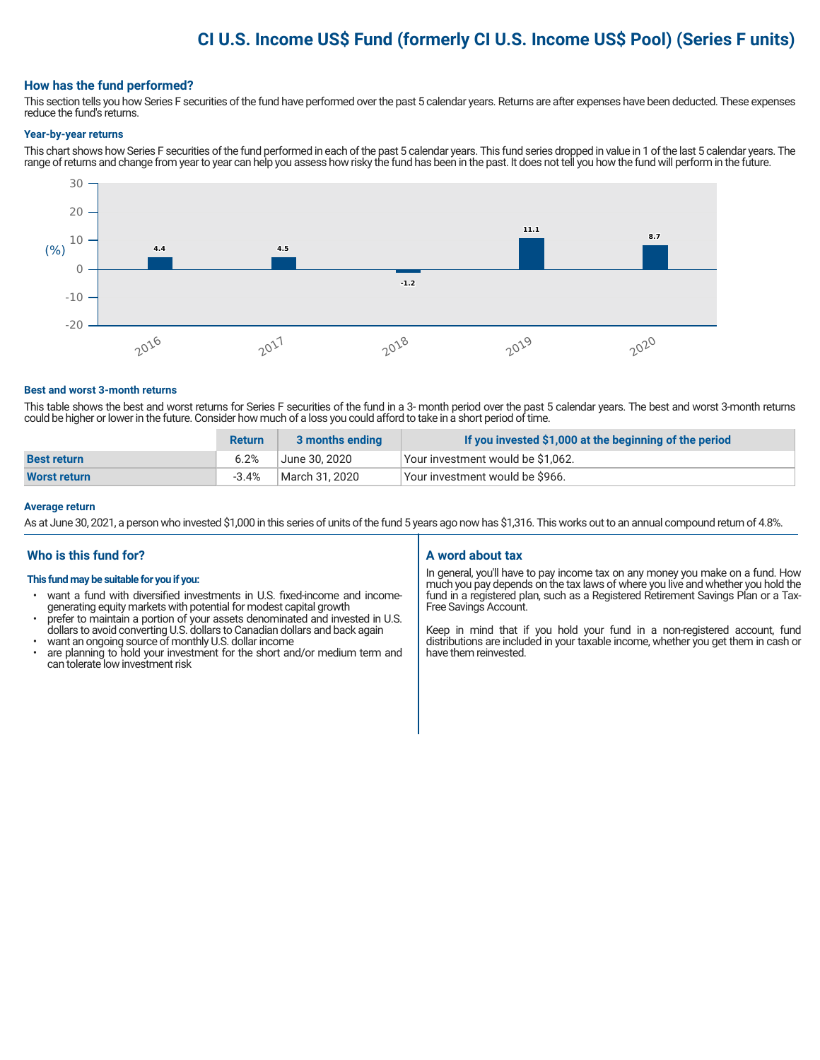## **CI U.S. Income US\$ Fund (formerly CI U.S. Income US\$ Pool) (Series F units)**

#### **How has the fund performed?**

This section tells you how Series F securities of the fund have performed over the past 5 calendar years. Returns are after expenses have been deducted. These expenses reduce the fund's returns.

#### **Year-by-year returns**

This chart shows how Series F securities of the fund performed in each of the past 5 calendar years. This fund series dropped in value in 1 of the last 5 calendar years. The range of returns and change from year to year can help you assess how risky the fund has been in the past. It does not tell you how the fund will perform in the future.



#### **Best and worst 3-month returns**

This table shows the best and worst returns for Series F securities of the fund in a 3- month period over the past 5 calendar years. The best and worst 3-month returns could be higher or lower in the future. Consider how much of a loss you could afford to take in a short period of time.

|                     | <b>Return</b> | 3 months ending | If you invested \$1,000 at the beginning of the period |
|---------------------|---------------|-----------------|--------------------------------------------------------|
| <b>Best return</b>  | 6.2%          | June 30, 2020   | Your investment would be \$1,062.                      |
| <b>Worst return</b> | $-3.4%$       | March 31. 2020  | Your investment would be \$966.                        |

#### **Average return**

As at June 30, 2021, a person who invested \$1,000 in this series of units of the fund 5 years ago now has \$1,316. This works out to an annual compound return of 4.8%.

#### **Who is this fund for?**

#### **This fund may be suitable for you if you:**

- want a fund with diversified investments in U.S. fixed-income and incomegenerating equity markets with potential for modest capital growth
- prefer to maintain a portion of your assets denominated and invested in U.S. dollars to avoid converting U.S. dollars to Canadian dollars and back again
- want an ongoing source of monthly U.S. dollar income<br>• are planning to hold your investment for the short an
- are planning to hold your investment for the short and/or medium term and can tolerate low investment risk

#### **A word about tax**

In general, you'll have to pay income tax on any money you make on a fund. How much you pay depends on the tax laws of where you live and whether you hold the fund in a registered plan, such as a Registered Retirement Savings Plan or a Tax-Free Savings Account.

Keep in mind that if you hold your fund in a non-registered account, fund distributions are included in your taxable income, whether you get them in cash or have them reinvested.